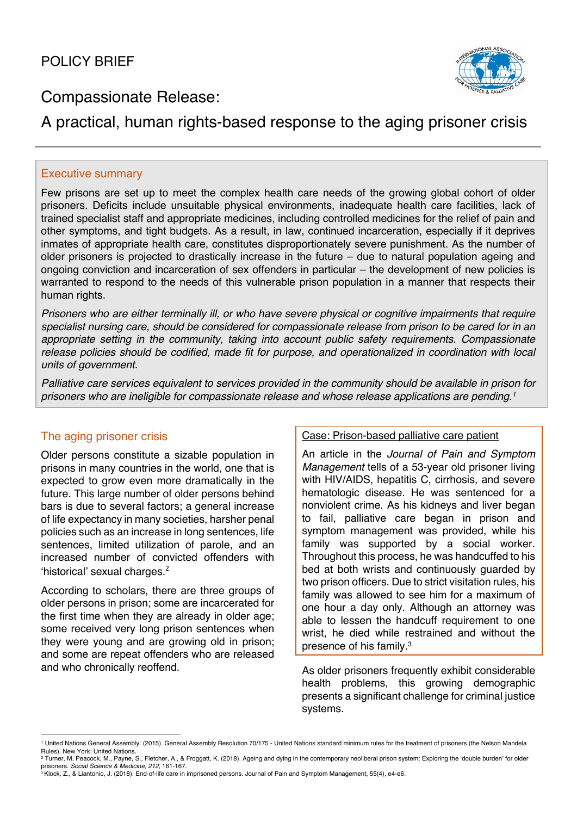

# Compassionate Release:

# A practical, human rights-based response to the aging prisoner crisis

## Executive summary

Few prisons are set up to meet the complex health care needs of the growing global cohort of older prisoners. Deficits include unsuitable physical environments, inadequate health care facilities, lack of trained specialist staff and appropriate medicines, including controlled medicines for the relief of pain and other symptoms, and tight budgets. As a result, in law, continued incarceration, especially if it deprives inmates of appropriate health care, constitutes disproportionately severe punishment. As the number of older prisoners is projected to drastically increase in the future – due to natural population ageing and ongoing conviction and incarceration of sex offenders in particular – the development of new policies is warranted to respond to the needs of this vulnerable prison population in a manner that respects their human rights.

*Prisoners who are either terminally ill, or who have severe physical or cognitive impairments that require specialist nursing care, should be considered for compassionate release from prison to be cared for in an appropriate setting in the community, taking into account public safety requirements. Compassionate release policies should be codified, made fit for purpose, and operationalized in coordination with local units of government.*

*Palliative care services equivalent to services provided in the community should be available in prison for prisoners who are ineligible for compassionate release and whose release applications are pending.1*

# The aging prisoner crisis

Older persons constitute a sizable population in prisons in many countries in the world, one that is expected to grow even more dramatically in the future. This large number of older persons behind bars is due to several factors; a general increase of life expectancy in many societies, harsher penal policies such as an increase in long sentences, life sentences, limited utilization of parole, and an increased number of convicted offenders with 'historical' sexual charges.<sup>2</sup>

According to scholars, there are three groups of older persons in prison; some are incarcerated for the first time when they are already in older age; some received very long prison sentences when they were young and are growing old in prison; and some are repeat offenders who are released and who chronically reoffend.

### Case: Prison-based palliative care patient

An article in the *Journal of Pain and Symptom Management* tells of a 53-year old prisoner living with HIV/AIDS, hepatitis C, cirrhosis, and severe hematologic disease. He was sentenced for a nonviolent crime. As his kidneys and liver began to fail, palliative care began in prison and symptom management was provided, while his family was supported by a social worker. Throughout this process, he was handcuffed to his bed at both wrists and continuously guarded by two prison officers. Due to strict visitation rules, his family was allowed to see him for a maximum of one hour a day only. Although an attorney was able to lessen the handcuff requirement to one wrist, he died while restrained and without the presence of his family.3

As older prisoners frequently exhibit considerable health problems, this growing demographic presents a significant challenge for criminal justice systems.

<sup>1</sup> United Nations General Assembly. (2015). General Assembly Resolution 70/175 - United Nations standard minimum rules for the treatment of prisoners (the Nelson Mandela Rules). New York: United Nations.

<sup>&</sup>lt;sup>2</sup> Turner, M. Peacock, M., Payne, S., Fletcher, A., & Froggatt, K. (2018). Ageing and dying in the contemporary neoliberal prison system: Exploring the 'double burden' for older

prisoners. *Social Science & Medicine, 212*, 161-167.<br><sup>3</sup> Klock, Z., & Liantonio, J. (2018). End-of-life care in imprisoned persons. Journal of Pain and Symptom Management, 55(4), e4-e6.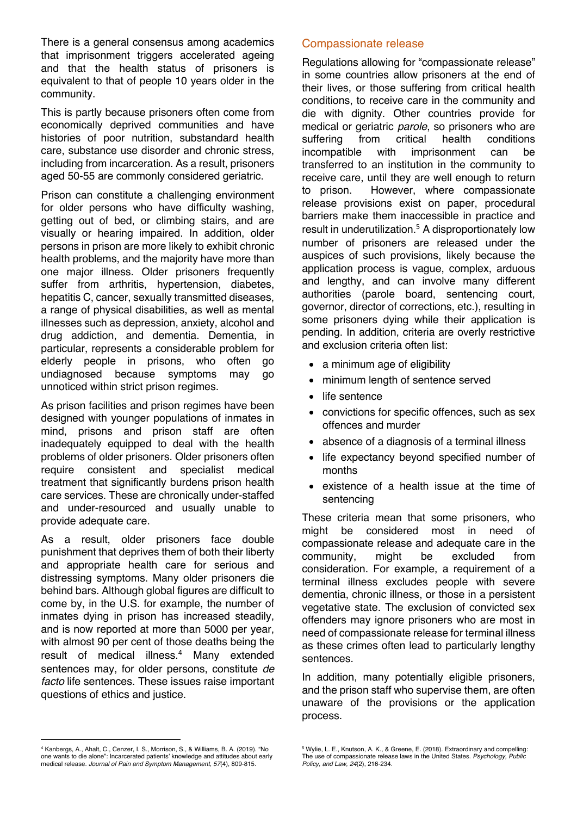There is a general consensus among academics that imprisonment triggers accelerated ageing and that the health status of prisoners is equivalent to that of people 10 years older in the community.

This is partly because prisoners often come from economically deprived communities and have histories of poor nutrition, substandard health care, substance use disorder and chronic stress, including from incarceration. As a result, prisoners aged 50-55 are commonly considered geriatric.

Prison can constitute a challenging environment for older persons who have difficulty washing, getting out of bed, or climbing stairs, and are visually or hearing impaired. In addition, older persons in prison are more likely to exhibit chronic health problems, and the majority have more than one major illness. Older prisoners frequently suffer from arthritis, hypertension, diabetes, hepatitis C, cancer, sexually transmitted diseases, a range of physical disabilities, as well as mental illnesses such as depression, anxiety, alcohol and drug addiction, and dementia. Dementia, in particular, represents a considerable problem for elderly people in prisons, who often go undiagnosed because symptoms may go unnoticed within strict prison regimes.

As prison facilities and prison regimes have been designed with younger populations of inmates in mind, prisons and prison staff are often inadequately equipped to deal with the health problems of older prisoners. Older prisoners often require consistent and specialist medical treatment that significantly burdens prison health care services. These are chronically under-staffed and under-resourced and usually unable to provide adequate care.

As a result, older prisoners face double punishment that deprives them of both their liberty and appropriate health care for serious and distressing symptoms. Many older prisoners die behind bars. Although global figures are difficult to come by, in the U.S. for example, the number of inmates dying in prison has increased steadily, and is now reported at more than 5000 per year, with almost 90 per cent of those deaths being the result of medical illness.<sup>4</sup> Many extended sentences may, for older persons, constitute *de facto* life sentences. These issues raise important questions of ethics and justice.

Compassionate release

Regulations allowing for "compassionate release" in some countries allow prisoners at the end of their lives, or those suffering from critical health conditions, to receive care in the community and die with dignity. Other countries provide for medical or geriatric *parole*, so prisoners who are suffering from critical health conditions from critical health conditions incompatible with imprisonment can be transferred to an institution in the community to receive care, until they are well enough to return to prison. However, where compassionate release provisions exist on paper, procedural barriers make them inaccessible in practice and result in underutilization. <sup>5</sup> A disproportionately low number of prisoners are released under the auspices of such provisions, likely because the application process is vague, complex, arduous and lengthy, and can involve many different authorities (parole board, sentencing court, governor, director of corrections, etc.), resulting in some prisoners dying while their application is pending. In addition, criteria are overly restrictive and exclusion criteria often list:

- a minimum age of eligibility
- minimum length of sentence served
- life sentence
- convictions for specific offences, such as sex offences and murder
- absence of a diagnosis of a terminal illness
- life expectancy beyond specified number of months
- existence of a health issue at the time of sentencing

These criteria mean that some prisoners, who might be considered most in need of compassionate release and adequate care in the community, might be excluded from consideration. For example, a requirement of a terminal illness excludes people with severe dementia, chronic illness, or those in a persistent vegetative state. The exclusion of convicted sex offenders may ignore prisoners who are most in need of compassionate release for terminal illness as these crimes often lead to particularly lengthy sentences.

In addition, many potentially eligible prisoners, and the prison staff who supervise them, are often unaware of the provisions or the application process.

<sup>4</sup> Kanbergs, A., Ahalt, C., Cenzer, I. S., Morrison, S., & Williams, B. A. (2019). "No one wants to die alone": Incarcerated patients' knowledge and attitudes about early medical release. *Journal of Pain and Symptom Management, 57*(4), 809-815.

<sup>5</sup> Wylie, L. E., Knutson, A. K., & Greene, E. (2018). Extraordinary and compelling: The use of compassionate release laws in the United States. *Psychology, Public*  $\overline{P}$ *Policy, and Law, 24*(2), 216-234.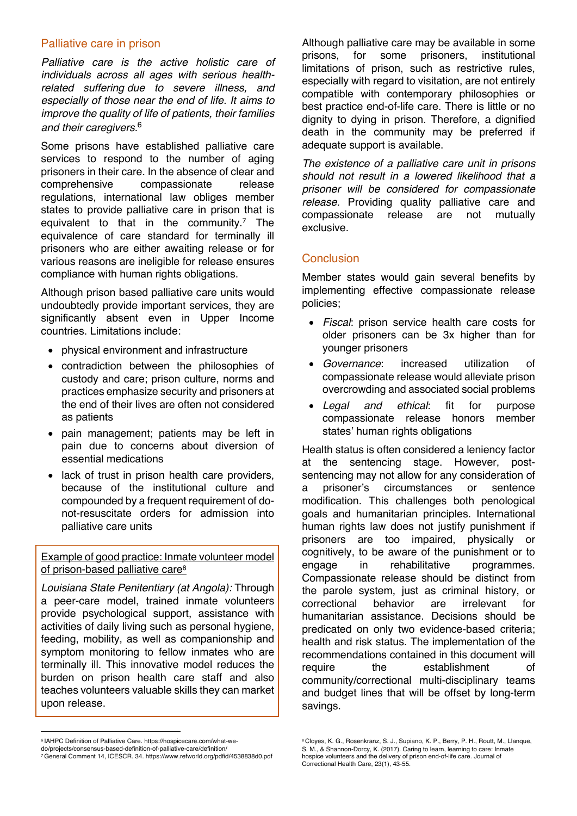### Palliative care in prison

*Palliative care is the active holistic care of individuals across all ages with serious healthrelated suffering due to severe illness, and especially of those near the end of life. It aims to improve the quality of life of patients, their families and their caregivers.*<sup>6</sup>

Some prisons have established palliative care services to respond to the number of aging prisoners in their care. In the absence of clear and comprehensive compassionate release regulations, international law obliges member states to provide palliative care in prison that is equivalent to that in the community.<sup>7</sup> The equivalence of care standard for terminally ill prisoners who are either awaiting release or for various reasons are ineligible for release ensures compliance with human rights obligations.

Although prison based palliative care units would undoubtedly provide important services, they are significantly absent even in Upper Income countries. Limitations include:

- physical environment and infrastructure
- contradiction between the philosophies of custody and care; prison culture, norms and practices emphasize security and prisoners at the end of their lives are often not considered as patients
- pain management; patients may be left in pain due to concerns about diversion of essential medications
- lack of trust in prison health care providers, because of the institutional culture and compounded by a frequent requirement of donot-resuscitate orders for admission into palliative care units

Example of good practice: Inmate volunteer model of prison-based palliative care8

*Louisiana State Penitentiary (at Angola):* Through a peer-care model, trained inmate volunteers provide psychological support, assistance with activities of daily living such as personal hygiene, feeding, mobility, as well as companionship and symptom monitoring to fellow inmates who are terminally ill. This innovative model reduces the burden on prison health care staff and also teaches volunteers valuable skills they can market upon release.

*The existence of a palliative care unit in prisons should not result in a lowered likelihood that a prisoner will be considered for compassionate release.* Providing quality palliative care and compassionate release are not mutually exclusive.

## **Conclusion**

Member states would gain several benefits by implementing effective compassionate release policies;

- *Fiscal*: prison service health care costs for older prisoners can be 3x higher than for younger prisoners
- *Governance*: increased utilization of compassionate release would alleviate prison overcrowding and associated social problems
- *Legal and ethical*: fit for purpose compassionate release honors member states' human rights obligations

Health status is often considered a leniency factor at the sentencing stage. However, postsentencing may not allow for any consideration of a prisoner's circumstances or sentence modification. This challenges both penological goals and humanitarian principles. International human rights law does not justify punishment if prisoners are too impaired, physically or cognitively, to be aware of the punishment or to engage in rehabilitative programmes. Compassionate release should be distinct from the parole system, just as criminal history, or correctional behavior are irrelevant for humanitarian assistance. Decisions should be predicated on only two evidence-based criteria; health and risk status. The implementation of the recommendations contained in this document will require the establishment of community/correctional multi-disciplinary teams and budget lines that will be offset by long-term savings.

Although palliative care may be available in some prisons, for some prisoners, institutional limitations of prison, such as restrictive rules, especially with regard to visitation, are not entirely compatible with contemporary philosophies or best practice end-of-life care. There is little or no dignity to dying in prison. Therefore, a dignified death in the community may be preferred if adequate support is available.

<sup>6</sup> IAHPC Definition of Palliative Care. https://hospicecare.com/what-we-

do/projects/consensus-based-definition-of-palliative-care/definition/

<sup>7</sup>General Comment 14, ICESCR. 34. https://www.refworld.org/pdfid/4538838d0.pdf

<sup>8</sup> Cloyes, K. G., Rosenkranz, S. J., Supiano, K. P., Berry, P. H., Routt, M., Llanque, S. M., & Shannon-Dorcy, K. (2017). Caring to learn, learning to care: Inmate hospice volunteers and the delivery of prison end-of-life care. Journal of Correctional Health Care, 23(1), 43-55.